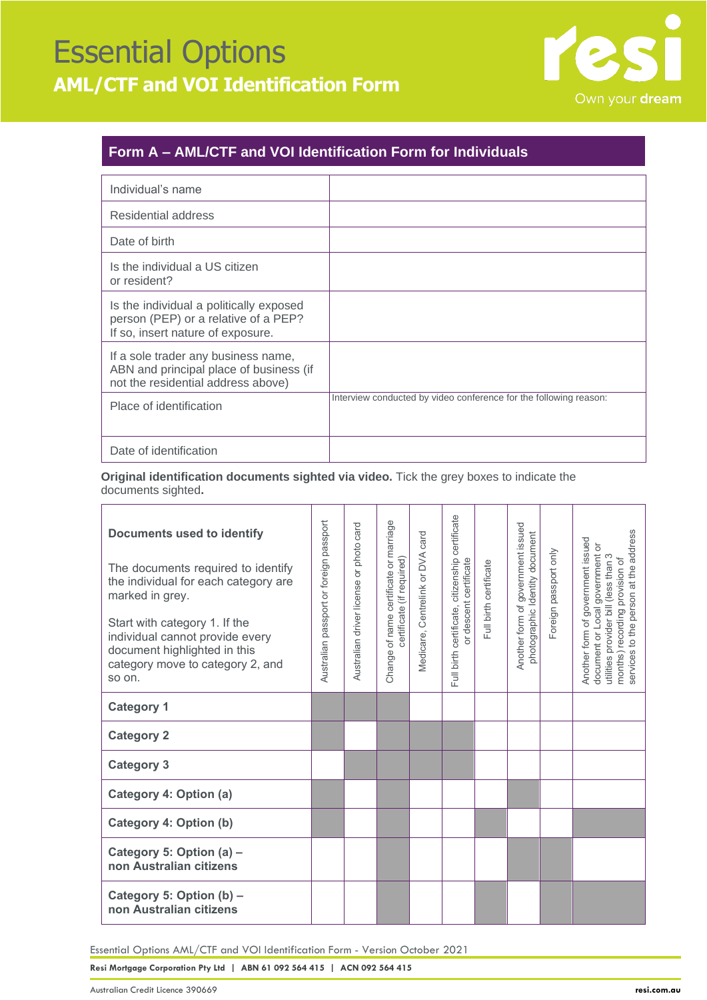## Essential Options **AML/CTF and VOI Identification Form**



### **Form A – AML/CTF and VOI Identification Form for Individuals**

| Individual's name                                                                                                    |                                                                   |
|----------------------------------------------------------------------------------------------------------------------|-------------------------------------------------------------------|
| Residential address                                                                                                  |                                                                   |
| Date of birth                                                                                                        |                                                                   |
| Is the individual a US citizen<br>or resident?                                                                       |                                                                   |
| Is the individual a politically exposed<br>person (PEP) or a relative of a PEP?<br>If so, insert nature of exposure. |                                                                   |
| If a sole trader any business name,<br>ABN and principal place of business (if<br>not the residential address above) |                                                                   |
| Place of identification                                                                                              | Interview conducted by video conference for the following reason: |
| Date of identification                                                                                               |                                                                   |

**Original identification documents sighted via video.** Tick the grey boxes to indicate the documents sighted**.**

| <b>Documents used to identify</b><br>The documents required to identify<br>the individual for each category are<br>marked in grey.<br>Start with category 1. If the<br>individual cannot provide every<br>document highlighted in this<br>category move to category 2, and<br>so on. | Australian passport or foreign passport | photo card<br>Australian driver license or | Change of name certificate or marriage<br>certificate (if required) | Medicare, Centrelink or DVA card | Full birth certificate, citizenship certificate<br>or descent certificate | Full birth certificate | Another form of government issued<br>photographic Identity document | Foreign passport only | services to the person at the address<br>Another form of government issued<br>document or Local government or<br>utilities provider bill (less than 3<br>months) recording provision of |
|--------------------------------------------------------------------------------------------------------------------------------------------------------------------------------------------------------------------------------------------------------------------------------------|-----------------------------------------|--------------------------------------------|---------------------------------------------------------------------|----------------------------------|---------------------------------------------------------------------------|------------------------|---------------------------------------------------------------------|-----------------------|-----------------------------------------------------------------------------------------------------------------------------------------------------------------------------------------|
| <b>Category 1</b>                                                                                                                                                                                                                                                                    |                                         |                                            |                                                                     |                                  |                                                                           |                        |                                                                     |                       |                                                                                                                                                                                         |
| <b>Category 2</b>                                                                                                                                                                                                                                                                    |                                         |                                            |                                                                     |                                  |                                                                           |                        |                                                                     |                       |                                                                                                                                                                                         |
| <b>Category 3</b>                                                                                                                                                                                                                                                                    |                                         |                                            |                                                                     |                                  |                                                                           |                        |                                                                     |                       |                                                                                                                                                                                         |
| Category 4: Option (a)                                                                                                                                                                                                                                                               |                                         |                                            |                                                                     |                                  |                                                                           |                        |                                                                     |                       |                                                                                                                                                                                         |
| Category 4: Option (b)                                                                                                                                                                                                                                                               |                                         |                                            |                                                                     |                                  |                                                                           |                        |                                                                     |                       |                                                                                                                                                                                         |
| Category 5: Option (a) -<br>non Australian citizens                                                                                                                                                                                                                                  |                                         |                                            |                                                                     |                                  |                                                                           |                        |                                                                     |                       |                                                                                                                                                                                         |
| Category 5: Option (b) -<br>non Australian citizens                                                                                                                                                                                                                                  |                                         |                                            |                                                                     |                                  |                                                                           |                        |                                                                     |                       |                                                                                                                                                                                         |

Essential Options AML/CTF and VOI Identification Form - Version October 2021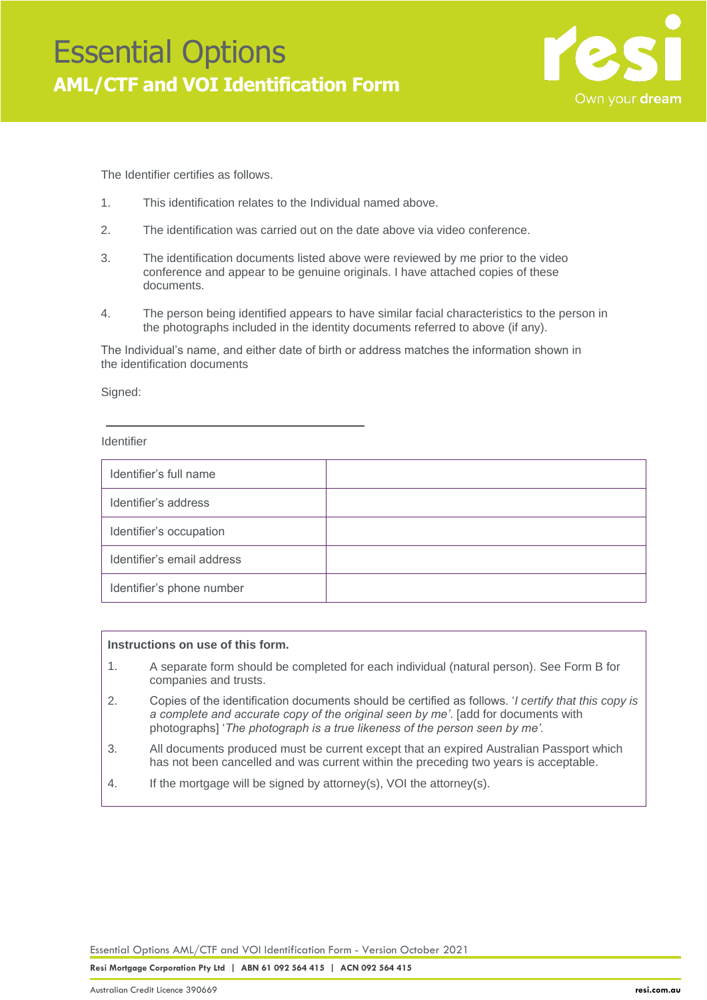

The Identifier certifies as follows.

- 1. This identification relates to the Individual named above.
- 2. The identification was carried out on the date above via video conference.
- 3. The identification documents listed above were reviewed by me prior to the video conference and appear to be genuine originals. I have attached copies of these documents.
- 4. The person being identified appears to have similar facial characteristics to the person in the photographs included in the identity documents referred to above (if any).

The Individual's name, and either date of birth or address matches the information shown in the identification documents

Signed:

#### Identifier

| Identifier's full name     |  |
|----------------------------|--|
| Identifier's address       |  |
| Identifier's occupation    |  |
| Identifier's email address |  |
| Identifier's phone number  |  |

#### **Instructions on use of this form.**

- A separate form should be completed for each individual (natural person). See Form B for companies and trusts. 1.
- Copies of the identification documents should be certified as follows. '*I certify that this copy is a complete and accurate copy of the original seen by me'*. [add for documents with photographs] '*The photograph is a true likeness of the person seen by me'.* 2.
- All documents produced must be current except that an expired Australian Passport which has not been cancelled and was current within the preceding two years is acceptable. 3.
- If the mortgage will be signed by attorney(s), VOI the attorney(s). 4.

Essential Options AML/CTF and VOI Identification Form - Version October 2021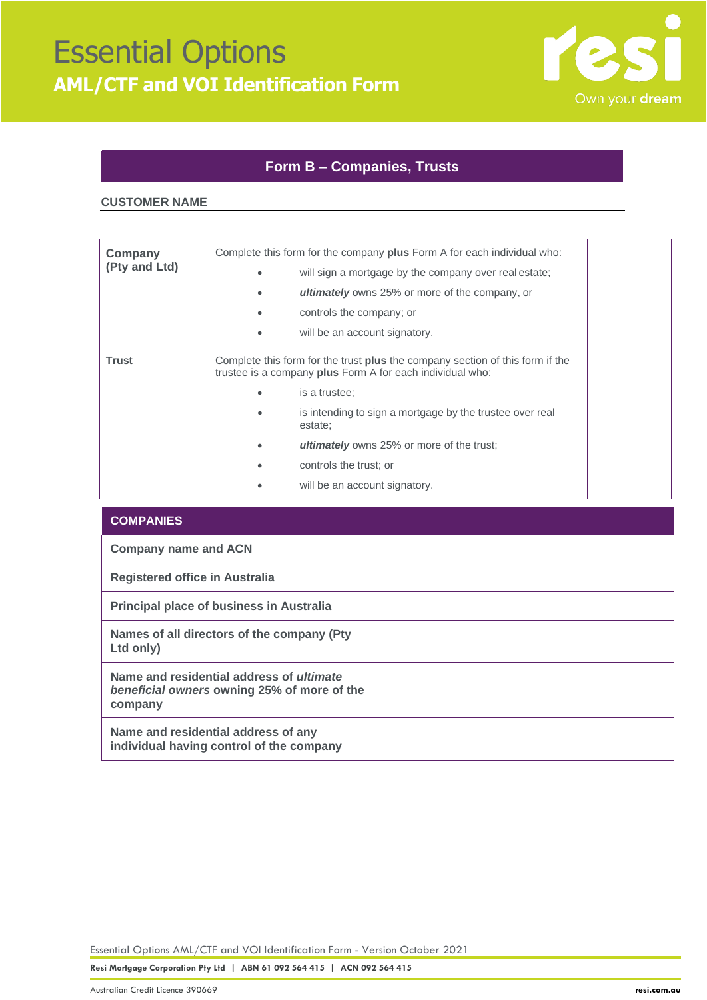

### **Form B – Companies, Trusts**

#### **CUSTOMER NAME**

| Company<br>(Pty and Ltd) | Complete this form for the company plus Form A for each individual who:<br>will sign a mortgage by the company over real estate;<br><b>ultimately</b> owns 25% or more of the company, or<br>controls the company; or<br>will be an account signatory.                                                                                                   |  |
|--------------------------|----------------------------------------------------------------------------------------------------------------------------------------------------------------------------------------------------------------------------------------------------------------------------------------------------------------------------------------------------------|--|
| <b>Trust</b>             | Complete this form for the trust <b>plus</b> the company section of this form if the<br>trustee is a company plus Form A for each individual who:<br>is a trustee:<br>is intending to sign a mortgage by the trustee over real<br>estate:<br><b>ultimately</b> owns 25% or more of the trust;<br>controls the trust; or<br>will be an account signatory. |  |

| <b>COMPANIES</b>                                                                                          |  |
|-----------------------------------------------------------------------------------------------------------|--|
| <b>Company name and ACN</b>                                                                               |  |
| Registered office in Australia                                                                            |  |
| <b>Principal place of business in Australia</b>                                                           |  |
| Names of all directors of the company (Pty)<br>Ltd only)                                                  |  |
| Name and residential address of <i>ultimate</i><br>beneficial owners owning 25% of more of the<br>company |  |
| Name and residential address of any<br>individual having control of the company                           |  |

Essential Options AML/CTF and VOI Identification Form - Version October 2021